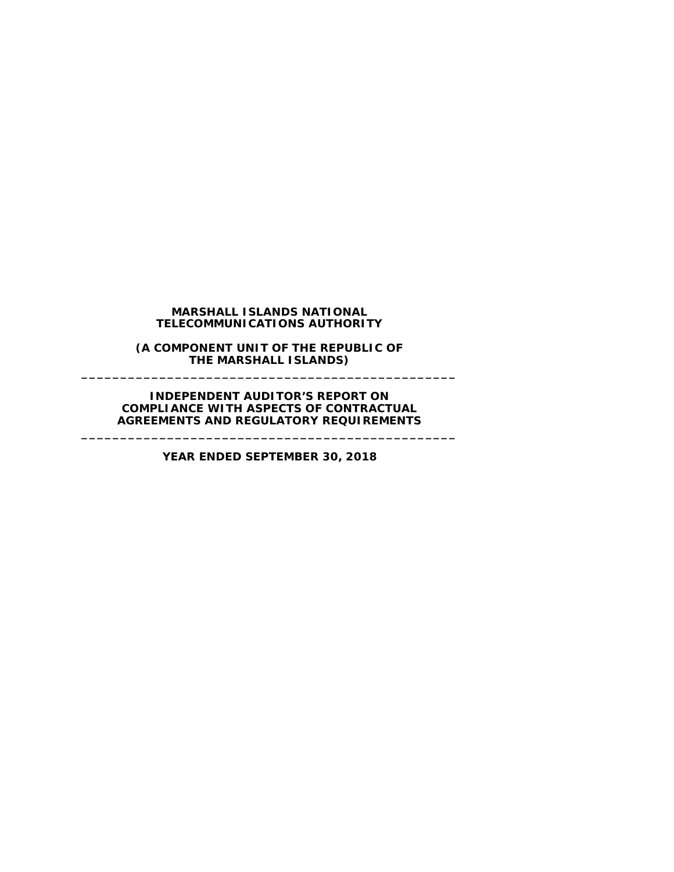## **MARSHALL ISLANDS NATIONAL TELECOMMUNICATIONS AUTHORITY**

**(A COMPONENT UNIT OF THE REPUBLIC OF THE MARSHALL ISLANDS) \_\_\_\_\_\_\_\_\_\_\_\_\_\_\_\_\_\_\_\_\_\_\_\_\_\_\_\_\_\_\_\_\_\_\_\_\_\_\_\_\_\_\_\_\_\_\_\_**

**INDEPENDENT AUDITOR'S REPORT ON COMPLIANCE WITH ASPECTS OF CONTRACTUAL AGREEMENTS AND REGULATORY REQUIREMENTS**

**YEAR ENDED SEPTEMBER 30, 2018**

**\_\_\_\_\_\_\_\_\_\_\_\_\_\_\_\_\_\_\_\_\_\_\_\_\_\_\_\_\_\_\_\_\_\_\_\_\_\_\_\_\_\_\_\_\_\_\_\_**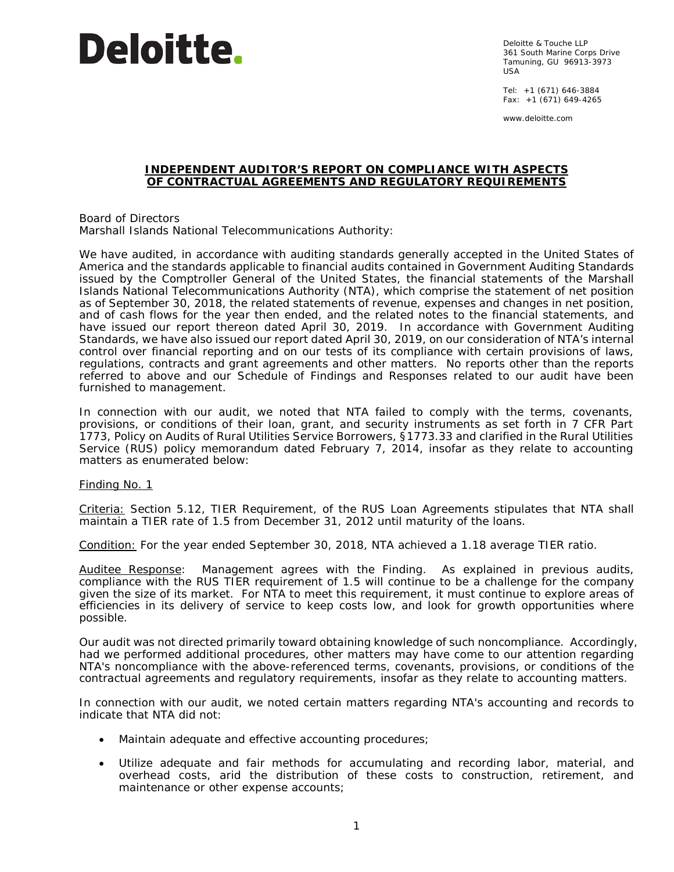

Deloitte & Touche LLP 361 South Marine Corps Drive Tamuning, GU 96913-3973  $IISA$ 

Tel: +1 (671) 646-3884 Fax:  $+1$  (671) 649-4265

www.deloitte.com

### **INDEPENDENT AUDITOR'S REPORT ON COMPLIANCE WITH ASPECTS OF CONTRACTUAL AGREEMENTS AND REGULATORY REQUIREMENTS**

Board of Directors Marshall Islands National Telecommunications Authority:

We have audited, in accordance with auditing standards generally accepted in the United States of America and the standards applicable to financial audits contained in *Government Auditing Standards* issued by the Comptroller General of the United States, the financial statements of the Marshall Islands National Telecommunications Authority (NTA), which comprise the statement of net position as of September 30, 2018, the related statements of revenue, expenses and changes in net position, and of cash flows for the year then ended, and the related notes to the financial statements, and have issued our report thereon dated April 30, 2019. In accordance with *Government Auditing Standards*, we have also issued our report dated April 30, 2019, on our consideration of NTA's internal control over financial reporting and on our tests of its compliance with certain provisions of laws, regulations, contracts and grant agreements and other matters. No reports other than the reports referred to above and our Schedule of Findings and Responses related to our audit have been furnished to management.

In connection with our audit, we noted that NTA failed to comply with the terms, covenants, provisions, or conditions of their loan, grant, and security instruments as set forth in 7 CFR Part 1773, *Policy on Audits of Rural Utilities Service Borrowers*, §1773.33 and clarified in the Rural Utilities Service (RUS) policy memorandum dated February 7, 2014, insofar as they relate to accounting matters as enumerated below:

Finding No. 1

Criteria: Section 5.12, *TIER Requirement*, of the RUS Loan Agreements stipulates that NTA shall maintain a TIER rate of 1.5 from December 31, 2012 until maturity of the loans.

Condition: For the year ended September 30, 2018, NTA achieved a 1.18 average TIER ratio.

Auditee Response: Management agrees with the Finding. As explained in previous audits, compliance with the RUS TIER requirement of 1.5 will continue to be a challenge for the company given the size of its market. For NTA to meet this requirement, it must continue to explore areas of efficiencies in its delivery of service to keep costs low, and look for growth opportunities where possible.

Our audit was not directed primarily toward obtaining knowledge of such noncompliance. Accordingly, had we performed additional procedures, other matters may have come to our attention regarding NTA's noncompliance with the above-referenced terms, covenants, provisions, or conditions of the contractual agreements and regulatory requirements, insofar as they relate to accounting matters.

In connection with our audit, we noted certain matters regarding NTA's accounting and records to indicate that NTA did not:

- Maintain adequate and effective accounting procedures;
- Utilize adequate and fair methods for accumulating and recording labor, material, and overhead costs, arid the distribution of these costs to construction, retirement, and maintenance or other expense accounts;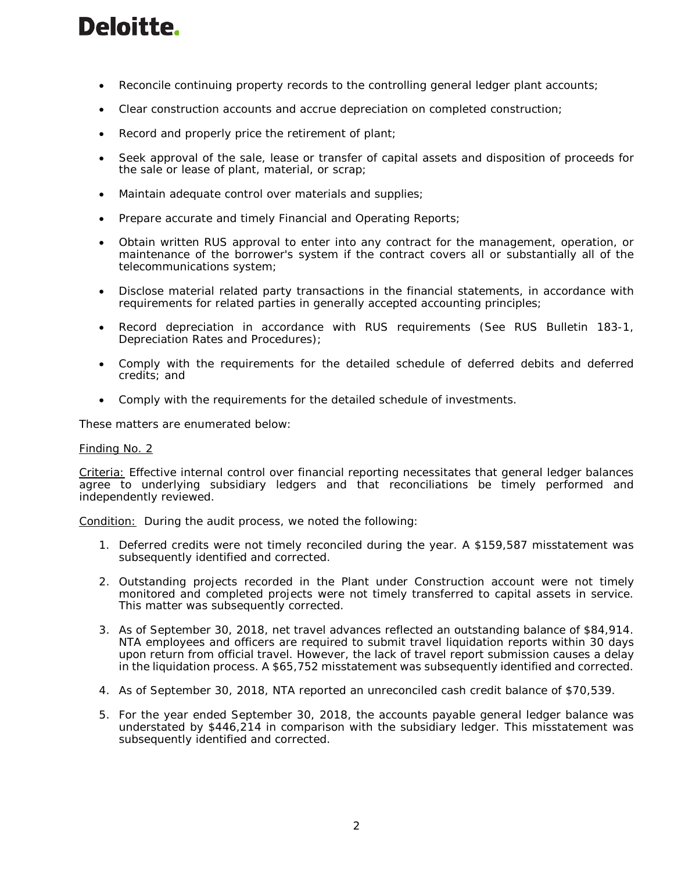# **Deloitte.**

- Reconcile continuing property records to the controlling general ledger plant accounts;
- Clear construction accounts and accrue depreciation on completed construction;
- Record and properly price the retirement of plant;
- Seek approval of the sale, lease or transfer of capital assets and disposition of proceeds for the sale or lease of plant, material, or scrap;
- Maintain adequate control over materials and supplies;
- Prepare accurate and timely Financial and Operating Reports;
- Obtain written RUS approval to enter into any contract for the management, operation, or maintenance of the borrower's system if the contract covers all or substantially all of the telecommunications system;
- Disclose material related party transactions in the financial statements, in accordance with requirements for related parties in generally accepted accounting principles;
- Record depreciation in accordance with RUS requirements (See RUS Bulletin 183-1, Depreciation Rates and Procedures);
- Comply with the requirements for the detailed schedule of deferred debits and deferred credits; and
- Comply with the requirements for the detailed schedule of investments.

These matters are enumerated below:

## Finding No. 2

Criteria: Effective internal control over financial reporting necessitates that general ledger balances agree to underlying subsidiary ledgers and that reconciliations be timely performed and independently reviewed.

Condition: During the audit process, we noted the following:

- 1. Deferred credits were not timely reconciled during the year. A \$159,587 misstatement was subsequently identified and corrected.
- 2. Outstanding projects recorded in the Plant under Construction account were not timely monitored and completed projects were not timely transferred to capital assets in service. This matter was subsequently corrected.
- 3. As of September 30, 2018, net travel advances reflected an outstanding balance of \$84,914. NTA employees and officers are required to submit travel liquidation reports within 30 days upon return from official travel. However, the lack of travel report submission causes a delay in the liquidation process. A \$65,752 misstatement was subsequently identified and corrected.
- 4. As of September 30, 2018, NTA reported an unreconciled cash credit balance of \$70,539.
- 5. For the year ended September 30, 2018, the accounts payable general ledger balance was understated by \$446,214 in comparison with the subsidiary ledger. This misstatement was subsequently identified and corrected.